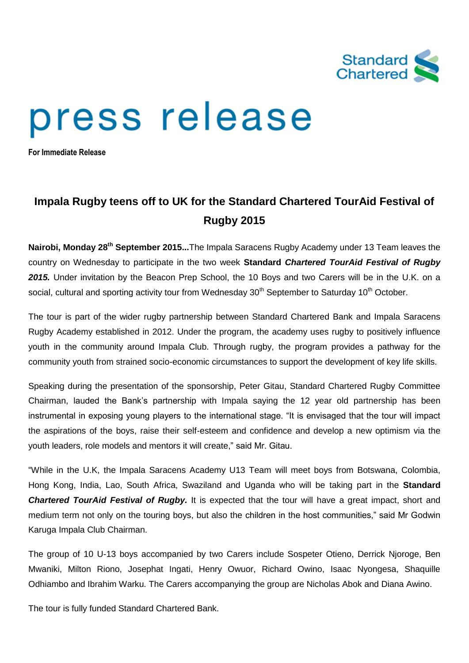

## press release

**For Immediate Release**

## **Impala Rugby teens off to UK for the Standard Chartered TourAid Festival of Rugby 2015**

**Nairobi, Monday 28th September 2015...**The Impala Saracens Rugby Academy under 13 Team leaves the country on Wednesday to participate in the two week **Standard** *Chartered TourAid Festival of Rugby 2015.* Under invitation by the Beacon Prep School, the 10 Boys and two Carers will be in the U.K. on a social, cultural and sporting activity tour from Wednesday  $30<sup>th</sup>$  September to Saturday 10<sup>th</sup> October.

The tour is part of the wider rugby partnership between Standard Chartered Bank and Impala Saracens Rugby Academy established in 2012. Under the program, the academy uses rugby to positively influence youth in the community around Impala Club. Through rugby, the program provides a pathway for the community youth from strained socio-economic circumstances to support the development of key life skills.

Speaking during the presentation of the sponsorship, Peter Gitau, Standard Chartered Rugby Committee Chairman, lauded the Bank's partnership with Impala saying the 12 year old partnership has been instrumental in exposing young players to the international stage. "It is envisaged that the tour will impact the aspirations of the boys, raise their self-esteem and confidence and develop a new optimism via the youth leaders, role models and mentors it will create," said Mr. Gitau.

"While in the U.K, the Impala Saracens Academy U13 Team will meet boys from Botswana, Colombia, Hong Kong, India, Lao, South Africa, Swaziland and Uganda who will be taking part in the **Standard** *Chartered TourAid Festival of Rugby.* It is expected that the tour will have a great impact, short and medium term not only on the touring boys, but also the children in the host communities," said Mr Godwin Karuga Impala Club Chairman.

The group of 10 U-13 boys accompanied by two Carers include Sospeter Otieno, Derrick Njoroge, Ben Mwaniki, Milton Riono, Josephat Ingati, Henry Owuor, Richard Owino, Isaac Nyongesa, Shaquille Odhiambo and Ibrahim Warku. The Carers accompanying the group are Nicholas Abok and Diana Awino.

The tour is fully funded Standard Chartered Bank.